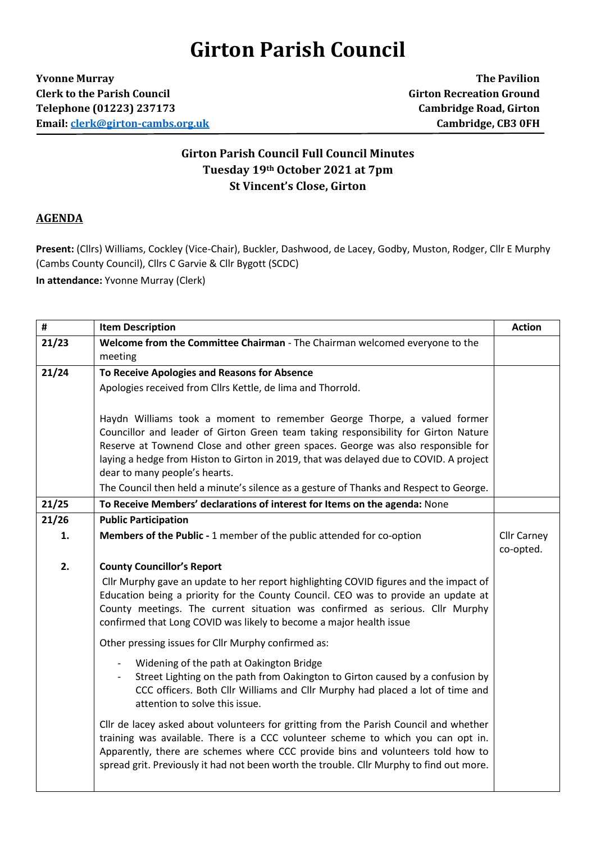## **Girton Parish Council**

**Yvonne Murray The Pavilion Clerk to the Parish Council Girton Recreation Ground Telephone (01223) 237173 Cambridge Road, Girton Email[: clerk@girton-cambs.org.uk](mailto:clerk@girton-cambs.org.uk) Cambridge, CB3 0FH**

## **Girton Parish Council Full Council Minutes Tuesday 19th October 2021 at 7pm St Vincent's Close, Girton**

## **AGENDA**

**Present:** (Cllrs) Williams, Cockley (Vice-Chair), Buckler, Dashwood, de Lacey, Godby, Muston, Rodger, Cllr E Murphy (Cambs County Council), Cllrs C Garvie & Cllr Bygott (SCDC)

**In attendance:** Yvonne Murray (Clerk)

| $\pmb{\sharp}$ | <b>Item Description</b>                                                                                                                                                                                                                                                                                                                                                                                                                                                | <b>Action</b>                   |
|----------------|------------------------------------------------------------------------------------------------------------------------------------------------------------------------------------------------------------------------------------------------------------------------------------------------------------------------------------------------------------------------------------------------------------------------------------------------------------------------|---------------------------------|
| 21/23          | Welcome from the Committee Chairman - The Chairman welcomed everyone to the<br>meeting                                                                                                                                                                                                                                                                                                                                                                                 |                                 |
| 21/24          | To Receive Apologies and Reasons for Absence                                                                                                                                                                                                                                                                                                                                                                                                                           |                                 |
|                | Apologies received from Cllrs Kettle, de lima and Thorrold.                                                                                                                                                                                                                                                                                                                                                                                                            |                                 |
|                | Haydn Williams took a moment to remember George Thorpe, a valued former<br>Councillor and leader of Girton Green team taking responsibility for Girton Nature<br>Reserve at Townend Close and other green spaces. George was also responsible for<br>laying a hedge from Histon to Girton in 2019, that was delayed due to COVID. A project<br>dear to many people's hearts.<br>The Council then held a minute's silence as a gesture of Thanks and Respect to George. |                                 |
| 21/25          | To Receive Members' declarations of interest for Items on the agenda: None                                                                                                                                                                                                                                                                                                                                                                                             |                                 |
| 21/26          | <b>Public Participation</b>                                                                                                                                                                                                                                                                                                                                                                                                                                            |                                 |
| 1.             | Members of the Public - 1 member of the public attended for co-option                                                                                                                                                                                                                                                                                                                                                                                                  | <b>Cllr Carney</b><br>co-opted. |
| 2.             | <b>County Councillor's Report</b><br>Cllr Murphy gave an update to her report highlighting COVID figures and the impact of<br>Education being a priority for the County Council. CEO was to provide an update at<br>County meetings. The current situation was confirmed as serious. Cllr Murphy<br>confirmed that Long COVID was likely to become a major health issue                                                                                                |                                 |
|                | Other pressing issues for Cllr Murphy confirmed as:                                                                                                                                                                                                                                                                                                                                                                                                                    |                                 |
|                | Widening of the path at Oakington Bridge<br>Street Lighting on the path from Oakington to Girton caused by a confusion by<br>CCC officers. Both Cllr Williams and Cllr Murphy had placed a lot of time and<br>attention to solve this issue.                                                                                                                                                                                                                           |                                 |
|                | Cllr de lacey asked about volunteers for gritting from the Parish Council and whether<br>training was available. There is a CCC volunteer scheme to which you can opt in.<br>Apparently, there are schemes where CCC provide bins and volunteers told how to<br>spread grit. Previously it had not been worth the trouble. Cllr Murphy to find out more.                                                                                                               |                                 |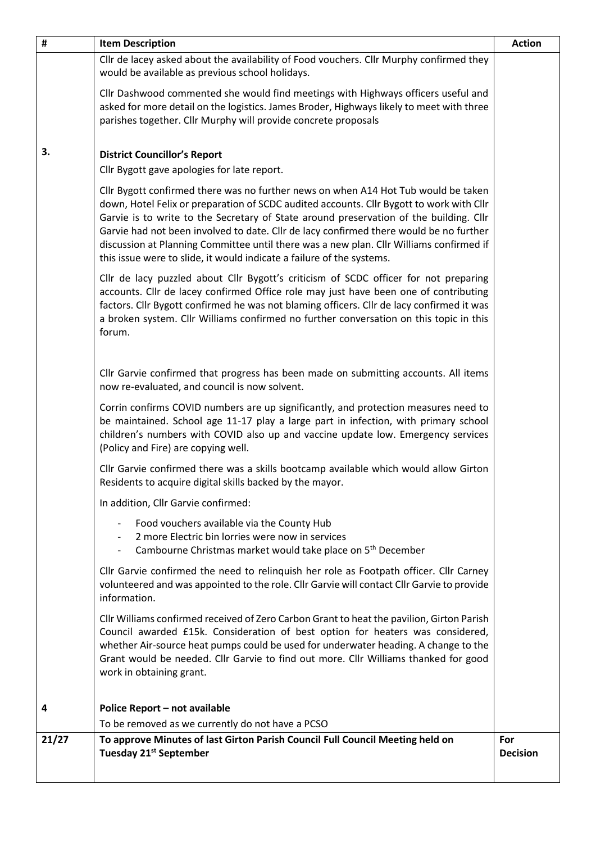| #     | <b>Item Description</b>                                                                                                                                                                                                                                                                                                                                                                                                                                                                                                                | <b>Action</b>          |
|-------|----------------------------------------------------------------------------------------------------------------------------------------------------------------------------------------------------------------------------------------------------------------------------------------------------------------------------------------------------------------------------------------------------------------------------------------------------------------------------------------------------------------------------------------|------------------------|
|       | Cllr de lacey asked about the availability of Food vouchers. Cllr Murphy confirmed they<br>would be available as previous school holidays.                                                                                                                                                                                                                                                                                                                                                                                             |                        |
|       | Cllr Dashwood commented she would find meetings with Highways officers useful and<br>asked for more detail on the logistics. James Broder, Highways likely to meet with three<br>parishes together. Cllr Murphy will provide concrete proposals                                                                                                                                                                                                                                                                                        |                        |
| 3.    | <b>District Councillor's Report</b><br>Cllr Bygott gave apologies for late report.                                                                                                                                                                                                                                                                                                                                                                                                                                                     |                        |
|       | Cllr Bygott confirmed there was no further news on when A14 Hot Tub would be taken<br>down, Hotel Felix or preparation of SCDC audited accounts. Cllr Bygott to work with Cllr<br>Garvie is to write to the Secretary of State around preservation of the building. Cllr<br>Garvie had not been involved to date. Cllr de lacy confirmed there would be no further<br>discussion at Planning Committee until there was a new plan. Cllr Williams confirmed if<br>this issue were to slide, it would indicate a failure of the systems. |                        |
|       | Cllr de lacy puzzled about Cllr Bygott's criticism of SCDC officer for not preparing<br>accounts. Cllr de lacey confirmed Office role may just have been one of contributing<br>factors. Cllr Bygott confirmed he was not blaming officers. Cllr de lacy confirmed it was<br>a broken system. Cllr Williams confirmed no further conversation on this topic in this<br>forum.                                                                                                                                                          |                        |
|       | Cllr Garvie confirmed that progress has been made on submitting accounts. All items<br>now re-evaluated, and council is now solvent.                                                                                                                                                                                                                                                                                                                                                                                                   |                        |
|       | Corrin confirms COVID numbers are up significantly, and protection measures need to<br>be maintained. School age 11-17 play a large part in infection, with primary school<br>children's numbers with COVID also up and vaccine update low. Emergency services<br>(Policy and Fire) are copying well.                                                                                                                                                                                                                                  |                        |
|       | Cllr Garvie confirmed there was a skills bootcamp available which would allow Girton<br>Residents to acquire digital skills backed by the mayor.                                                                                                                                                                                                                                                                                                                                                                                       |                        |
|       | In addition, Cllr Garvie confirmed:                                                                                                                                                                                                                                                                                                                                                                                                                                                                                                    |                        |
|       | Food vouchers available via the County Hub<br>$\overline{\phantom{a}}$<br>2 more Electric bin lorries were now in services<br>$\sim$<br>Cambourne Christmas market would take place on 5 <sup>th</sup> December                                                                                                                                                                                                                                                                                                                        |                        |
|       | Cllr Garvie confirmed the need to relinquish her role as Footpath officer. Cllr Carney<br>volunteered and was appointed to the role. Cllr Garvie will contact Cllr Garvie to provide<br>information.                                                                                                                                                                                                                                                                                                                                   |                        |
|       | Cllr Williams confirmed received of Zero Carbon Grant to heat the pavilion, Girton Parish<br>Council awarded £15k. Consideration of best option for heaters was considered,<br>whether Air-source heat pumps could be used for underwater heading. A change to the<br>Grant would be needed. Cllr Garvie to find out more. Cllr Williams thanked for good<br>work in obtaining grant.                                                                                                                                                  |                        |
| 4     | Police Report - not available                                                                                                                                                                                                                                                                                                                                                                                                                                                                                                          |                        |
|       | To be removed as we currently do not have a PCSO                                                                                                                                                                                                                                                                                                                                                                                                                                                                                       |                        |
| 21/27 | To approve Minutes of last Girton Parish Council Full Council Meeting held on<br>Tuesday 21 <sup>st</sup> September                                                                                                                                                                                                                                                                                                                                                                                                                    | For<br><b>Decision</b> |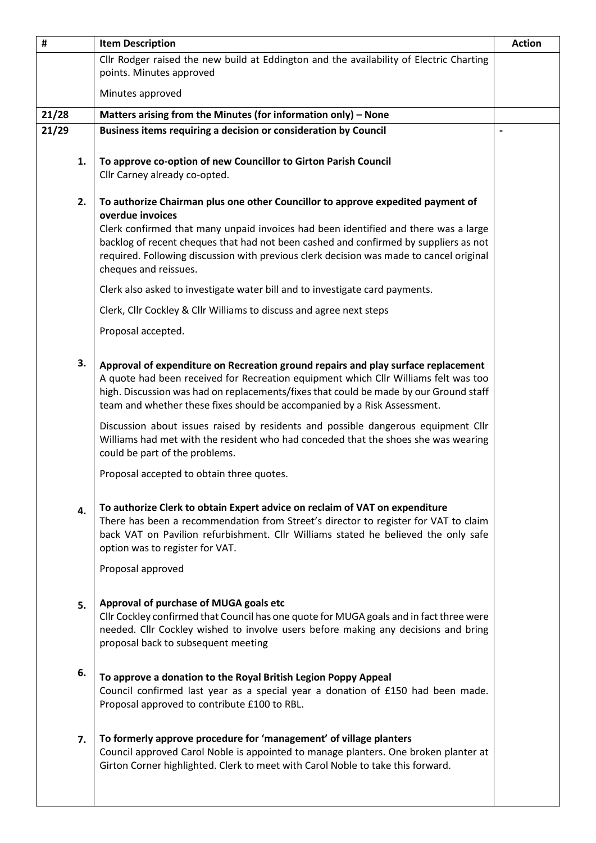| #     |    | <b>Item Description</b>                                                                                                                                                                                                                                                                                                                       | <b>Action</b>                |
|-------|----|-----------------------------------------------------------------------------------------------------------------------------------------------------------------------------------------------------------------------------------------------------------------------------------------------------------------------------------------------|------------------------------|
|       |    | Cllr Rodger raised the new build at Eddington and the availability of Electric Charting<br>points. Minutes approved                                                                                                                                                                                                                           |                              |
|       |    | Minutes approved                                                                                                                                                                                                                                                                                                                              |                              |
| 21/28 |    | Matters arising from the Minutes (for information only) - None                                                                                                                                                                                                                                                                                |                              |
| 21/29 |    | Business items requiring a decision or consideration by Council                                                                                                                                                                                                                                                                               | $\qquad \qquad \blacksquare$ |
|       | 1. | To approve co-option of new Councillor to Girton Parish Council<br>Cllr Carney already co-opted.                                                                                                                                                                                                                                              |                              |
|       | 2. | To authorize Chairman plus one other Councillor to approve expedited payment of                                                                                                                                                                                                                                                               |                              |
|       |    | overdue invoices<br>Clerk confirmed that many unpaid invoices had been identified and there was a large<br>backlog of recent cheques that had not been cashed and confirmed by suppliers as not<br>required. Following discussion with previous clerk decision was made to cancel original<br>cheques and reissues.                           |                              |
|       |    | Clerk also asked to investigate water bill and to investigate card payments.                                                                                                                                                                                                                                                                  |                              |
|       |    | Clerk, Cllr Cockley & Cllr Williams to discuss and agree next steps                                                                                                                                                                                                                                                                           |                              |
|       |    | Proposal accepted.                                                                                                                                                                                                                                                                                                                            |                              |
|       | 3. | Approval of expenditure on Recreation ground repairs and play surface replacement<br>A quote had been received for Recreation equipment which Cllr Williams felt was too<br>high. Discussion was had on replacements/fixes that could be made by our Ground staff<br>team and whether these fixes should be accompanied by a Risk Assessment. |                              |
|       |    | Discussion about issues raised by residents and possible dangerous equipment Cllr<br>Williams had met with the resident who had conceded that the shoes she was wearing<br>could be part of the problems.                                                                                                                                     |                              |
|       |    | Proposal accepted to obtain three quotes.                                                                                                                                                                                                                                                                                                     |                              |
|       | 4. | To authorize Clerk to obtain Expert advice on reclaim of VAT on expenditure<br>There has been a recommendation from Street's director to register for VAT to claim<br>back VAT on Pavilion refurbishment. Cllr Williams stated he believed the only safe<br>option was to register for VAT.                                                   |                              |
|       |    | Proposal approved                                                                                                                                                                                                                                                                                                                             |                              |
|       | 5. | Approval of purchase of MUGA goals etc<br>Cllr Cockley confirmed that Council has one quote for MUGA goals and in fact three were<br>needed. Cllr Cockley wished to involve users before making any decisions and bring<br>proposal back to subsequent meeting                                                                                |                              |
|       | 6. | To approve a donation to the Royal British Legion Poppy Appeal<br>Council confirmed last year as a special year a donation of £150 had been made.<br>Proposal approved to contribute £100 to RBL.                                                                                                                                             |                              |
|       | 7. | To formerly approve procedure for 'management' of village planters<br>Council approved Carol Noble is appointed to manage planters. One broken planter at<br>Girton Corner highlighted. Clerk to meet with Carol Noble to take this forward.                                                                                                  |                              |
|       |    |                                                                                                                                                                                                                                                                                                                                               |                              |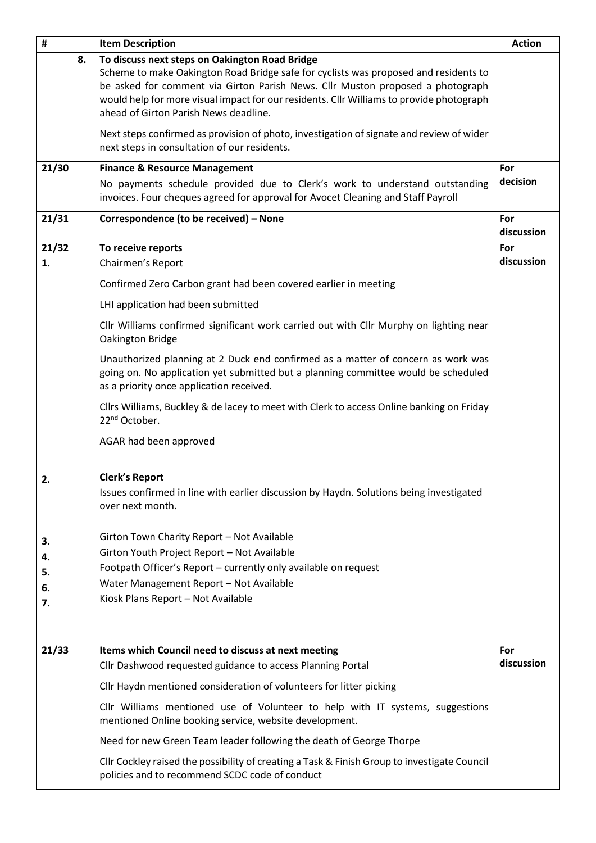| #     | <b>Item Description</b>                                                                                                                                                                                                                                                                                                                                       | <b>Action</b>     |
|-------|---------------------------------------------------------------------------------------------------------------------------------------------------------------------------------------------------------------------------------------------------------------------------------------------------------------------------------------------------------------|-------------------|
| 8.    | To discuss next steps on Oakington Road Bridge<br>Scheme to make Oakington Road Bridge safe for cyclists was proposed and residents to<br>be asked for comment via Girton Parish News. Cllr Muston proposed a photograph<br>would help for more visual impact for our residents. Cllr Williams to provide photograph<br>ahead of Girton Parish News deadline. |                   |
|       | Next steps confirmed as provision of photo, investigation of signate and review of wider<br>next steps in consultation of our residents.                                                                                                                                                                                                                      |                   |
| 21/30 | <b>Finance &amp; Resource Management</b>                                                                                                                                                                                                                                                                                                                      | For               |
|       | No payments schedule provided due to Clerk's work to understand outstanding<br>invoices. Four cheques agreed for approval for Avocet Cleaning and Staff Payroll                                                                                                                                                                                               | decision          |
| 21/31 | Correspondence (to be received) - None                                                                                                                                                                                                                                                                                                                        | For<br>discussion |
| 21/32 | To receive reports                                                                                                                                                                                                                                                                                                                                            | For               |
| 1.    | Chairmen's Report                                                                                                                                                                                                                                                                                                                                             | discussion        |
|       | Confirmed Zero Carbon grant had been covered earlier in meeting                                                                                                                                                                                                                                                                                               |                   |
|       | LHI application had been submitted                                                                                                                                                                                                                                                                                                                            |                   |
|       | Cllr Williams confirmed significant work carried out with Cllr Murphy on lighting near<br>Oakington Bridge                                                                                                                                                                                                                                                    |                   |
|       | Unauthorized planning at 2 Duck end confirmed as a matter of concern as work was<br>going on. No application yet submitted but a planning committee would be scheduled<br>as a priority once application received.                                                                                                                                            |                   |
|       | Cllrs Williams, Buckley & de lacey to meet with Clerk to access Online banking on Friday<br>22 <sup>nd</sup> October.                                                                                                                                                                                                                                         |                   |
|       | AGAR had been approved                                                                                                                                                                                                                                                                                                                                        |                   |
| 2.    | <b>Clerk's Report</b><br>Issues confirmed in line with earlier discussion by Haydn. Solutions being investigated                                                                                                                                                                                                                                              |                   |
|       | over next month.                                                                                                                                                                                                                                                                                                                                              |                   |
| 3.    | Girton Town Charity Report - Not Available                                                                                                                                                                                                                                                                                                                    |                   |
| 4.    | Girton Youth Project Report - Not Available                                                                                                                                                                                                                                                                                                                   |                   |
| 5.    | Footpath Officer's Report - currently only available on request                                                                                                                                                                                                                                                                                               |                   |
| 6.    | Water Management Report - Not Available                                                                                                                                                                                                                                                                                                                       |                   |
| 7.    | Kiosk Plans Report - Not Available                                                                                                                                                                                                                                                                                                                            |                   |
|       |                                                                                                                                                                                                                                                                                                                                                               |                   |
| 21/33 | Items which Council need to discuss at next meeting                                                                                                                                                                                                                                                                                                           | For               |
|       | Cllr Dashwood requested guidance to access Planning Portal                                                                                                                                                                                                                                                                                                    | discussion        |
|       | Cllr Haydn mentioned consideration of volunteers for litter picking                                                                                                                                                                                                                                                                                           |                   |
|       | Cllr Williams mentioned use of Volunteer to help with IT systems, suggestions<br>mentioned Online booking service, website development.                                                                                                                                                                                                                       |                   |
|       | Need for new Green Team leader following the death of George Thorpe                                                                                                                                                                                                                                                                                           |                   |
|       | Cllr Cockley raised the possibility of creating a Task & Finish Group to investigate Council<br>policies and to recommend SCDC code of conduct                                                                                                                                                                                                                |                   |